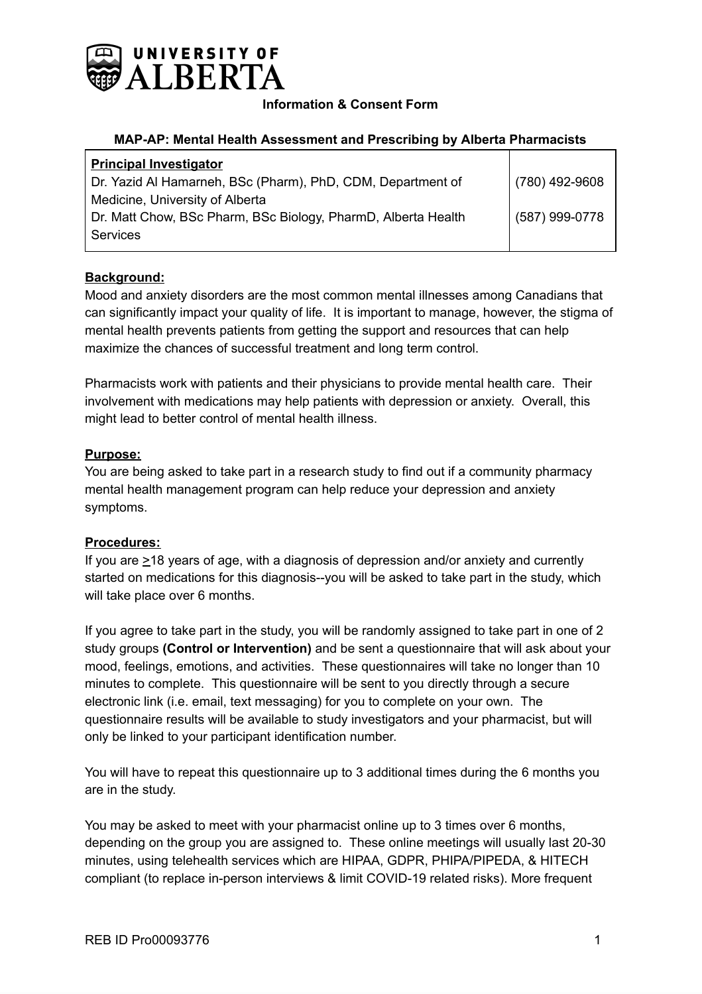

## **Information & Consent Form**

#### **MAP-AP: Mental Health Assessment and Prescribing by Alberta Pharmacists**

| $(780)$ 492-9608 |
|------------------|
|                  |
| (587) 999-0778   |
|                  |
|                  |

## **Background:**

Mood and anxiety disorders are the most common mental illnesses among Canadians that can significantly impact your quality of life. It is important to manage, however, the stigma of mental health prevents patients from getting the support and resources that can help maximize the chances of successful treatment and long term control.

Pharmacists work with patients and their physicians to provide mental health care. Their involvement with medications may help patients with depression or anxiety. Overall, this might lead to better control of mental health illness.

### **Purpose:**

You are being asked to take part in a research study to find out if a community pharmacy mental health management program can help reduce your depression and anxiety symptoms.

### **Procedures:**

If you are  $\geq$ 18 years of age, with a diagnosis of depression and/or anxiety and currently started on medications for this diagnosis--you will be asked to take part in the study, which will take place over 6 months.

If you agree to take part in the study, you will be randomly assigned to take part in one of 2 study groups **(Control or Intervention)** and be sent a questionnaire that will ask about your mood, feelings, emotions, and activities. These questionnaires will take no longer than 10 minutes to complete. This questionnaire will be sent to you directly through a secure electronic link (i.e. email, text messaging) for you to complete on your own. The questionnaire results will be available to study investigators and your pharmacist, but will only be linked to your participant identification number.

You will have to repeat this questionnaire up to 3 additional times during the 6 months you are in the study.

You may be asked to meet with your pharmacist online up to 3 times over 6 months, depending on the group you are assigned to. These online meetings will usually last 20-30 minutes, using telehealth services which are HIPAA, GDPR, PHIPA/PIPEDA, & HITECH compliant (to replace in-person interviews & limit COVID-19 related risks). More frequent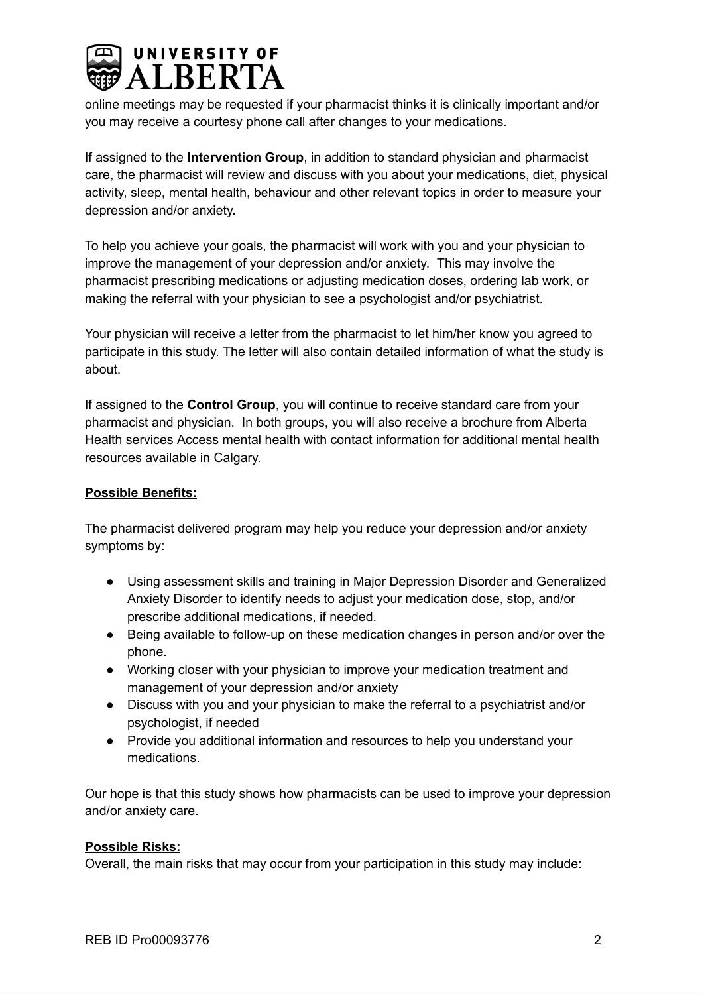

online meetings may be requested if your pharmacist thinks it is clinically important and/or you may receive a courtesy phone call after changes to your medications.

If assigned to the **Intervention Group**, in addition to standard physician and pharmacist care, the pharmacist will review and discuss with you about your medications, diet, physical activity, sleep, mental health, behaviour and other relevant topics in order to measure your depression and/or anxiety.

To help you achieve your goals, the pharmacist will work with you and your physician to improve the management of your depression and/or anxiety. This may involve the pharmacist prescribing medications or adjusting medication doses, ordering lab work, or making the referral with your physician to see a psychologist and/or psychiatrist.

Your physician will receive a letter from the pharmacist to let him/her know you agreed to participate in this study. The letter will also contain detailed information of what the study is about.

If assigned to the **Control Group**, you will continue to receive standard care from your pharmacist and physician. In both groups, you will also receive a brochure from Alberta Health services Access mental health with contact information for additional mental health resources available in Calgary.

# **Possible Benefits:**

The pharmacist delivered program may help you reduce your depression and/or anxiety symptoms by:

- Using assessment skills and training in Major Depression Disorder and Generalized Anxiety Disorder to identify needs to adjust your medication dose, stop, and/or prescribe additional medications, if needed.
- Being available to follow-up on these medication changes in person and/or over the phone.
- Working closer with your physician to improve your medication treatment and management of your depression and/or anxiety
- Discuss with you and your physician to make the referral to a psychiatrist and/or psychologist, if needed
- Provide you additional information and resources to help you understand your medications.

Our hope is that this study shows how pharmacists can be used to improve your depression and/or anxiety care.

### **Possible Risks:**

Overall, the main risks that may occur from your participation in this study may include: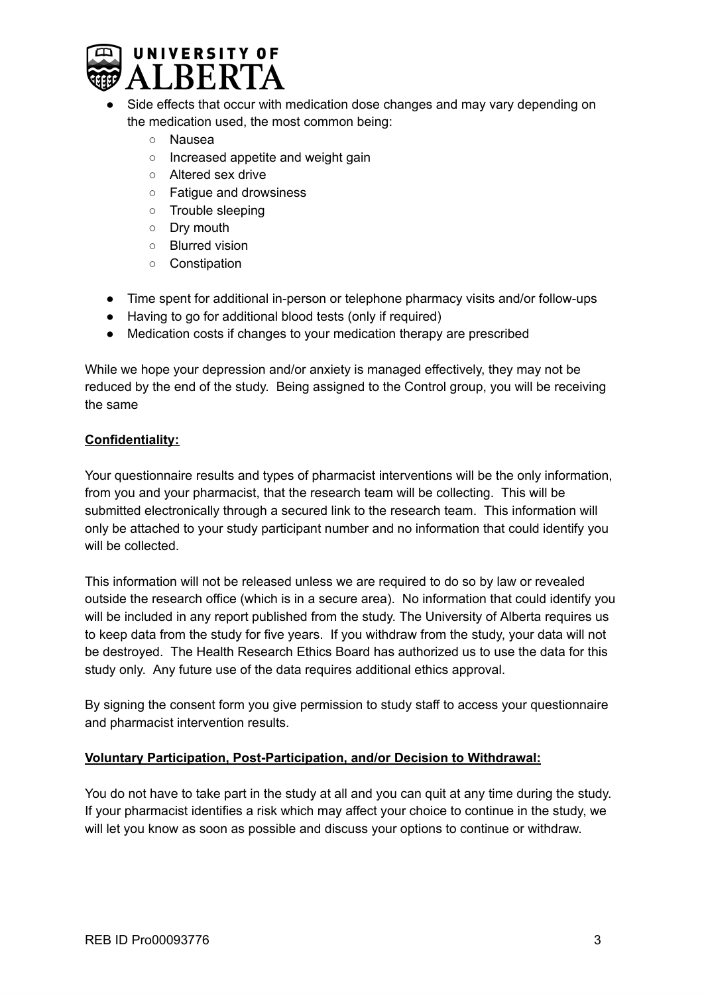

- Side effects that occur with medication dose changes and may vary depending on the medication used, the most common being:
	- Nausea
	- Increased appetite and weight gain
	- Altered sex drive
	- Fatigue and drowsiness
	- Trouble sleeping
	- Dry mouth
	- Blurred vision
	- Constipation
- Time spent for additional in-person or telephone pharmacy visits and/or follow-ups
- Having to go for additional blood tests (only if required)
- Medication costs if changes to your medication therapy are prescribed

While we hope your depression and/or anxiety is managed effectively, they may not be reduced by the end of the study. Being assigned to the Control group, you will be receiving the same

## **Confidentiality:**

Your questionnaire results and types of pharmacist interventions will be the only information, from you and your pharmacist, that the research team will be collecting. This will be submitted electronically through a secured link to the research team. This information will only be attached to your study participant number and no information that could identify you will be collected.

This information will not be released unless we are required to do so by law or revealed outside the research office (which is in a secure area). No information that could identify you will be included in any report published from the study. The University of Alberta requires us to keep data from the study for five years. If you withdraw from the study, your data will not be destroyed. The Health Research Ethics Board has authorized us to use the data for this study only. Any future use of the data requires additional ethics approval.

By signing the consent form you give permission to study staff to access your questionnaire and pharmacist intervention results.

### **Voluntary Participation, Post-Participation, and/or Decision to Withdrawal:**

You do not have to take part in the study at all and you can quit at any time during the study. If your pharmacist identifies a risk which may affect your choice to continue in the study, we will let you know as soon as possible and discuss your options to continue or withdraw.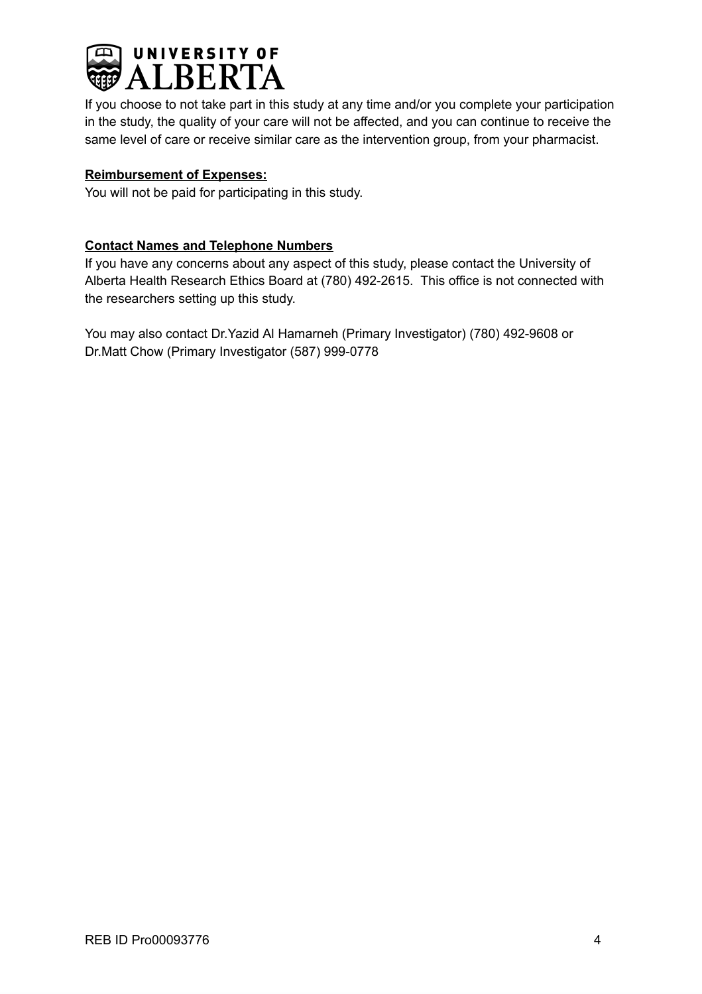

If you choose to not take part in this study at any time and/or you complete your participation in the study, the quality of your care will not be affected, and you can continue to receive the same level of care or receive similar care as the intervention group, from your pharmacist.

## **Reimbursement of Expenses:**

You will not be paid for participating in this study.

## **Contact Names and Telephone Numbers**

If you have any concerns about any aspect of this study, please contact the University of Alberta Health Research Ethics Board at (780) 492-2615. This office is not connected with the researchers setting up this study.

You may also contact Dr.Yazid Al Hamarneh (Primary Investigator) (780) 492-9608 or Dr.Matt Chow (Primary Investigator (587) 999-0778